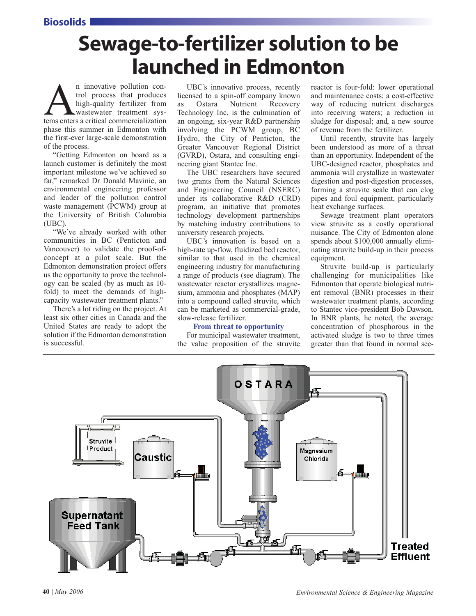Biosolids

# Sewage-to-fertilizer solution to be launched in Edmonton

An innovative pollution control process that produces<br>high-quality fertilizer from<br>wastewater treatment sys-<br>tems enters a critical commercialization trol process that produces high-quality fertilizer from wastewater treatment sysphase this summer in Edmonton with the first-ever large-scale demonstration of the process.

"Getting Edmonton on board as a launch customer is definitely the most important milestone we've achieved so far," remarked Dr Donald Mavinic, an environmental engineering professor and leader of the pollution control waste management (PCWM) group at the University of British Columbia (UBC).

"We've already worked with other communities in BC (Penticton and Vancouver) to validate the proof-ofconcept at a pilot scale. But the Edmonton demonstration project offers us the opportunity to prove the technology can be scaled (by as much as 10 fold) to meet the demands of highcapacity wastewater treatment plants."

There's a lot riding on the project. At least six other cities in Canada and the United States are ready to adopt the solution if the Edmonton demonstration is successful.

UBC's innovative process, recently licensed to a spin-off company known as Ostara Nutrient Recovery Technology Inc, is the culmination of an ongoing, six-year R&D partnership involving the PCWM group, BC Hydro, the City of Penticton, the Greater Vancouver Regional District (GVRD), Ostara, and consulting engineering giant Stantec Inc.

The UBC researchers have secured two grants from the Natural Sciences and Engineering Council (NSERC) under its collaborative R&D (CRD) program, an initiative that promotes technology development partnerships by matching industry contributions to university research projects.

UBC's innovation is based on a high-rate up-flow, fluidized bed reactor, similar to that used in the chemical engineering industry for manufacturing a range of products (see diagram). The wastewater reactor crystallizes magnesium, ammonia and phosphates (MAP) into a compound called struvite, which can be marketed as commercial-grade, slow-release fertilizer.

### **From threat to opportunity**

For municipal wastewater treatment, the value proposition of the struvite reactor is four-fold: lower operational and maintenance costs; a cost-effective way of reducing nutrient discharges into receiving waters; a reduction in sludge for disposal; and, a new source of revenue from the fertilizer.

Until recently, struvite has largely been understood as more of a threat than an opportunity. Independent of the UBC-designed reactor, phosphates and ammonia will crystallize in wastewater digestion and post-digestion processes, forming a struvite scale that can clog pipes and foul equipment, particularly heat exchange surfaces.

Sewage treatment plant operators view struvite as a costly operational nuisance. The City of Edmonton alone spends about \$100,000 annually eliminating struvite build-up in their process equipment.

Struvite build-up is particularly challenging for municipalities like Edmonton that operate biological nutrient removal (BNR) processes in their wastewater treatment plants, according to Stantec vice-president Bob Dawson. In BNR plants, he noted, the average concentration of phosphorous in the activated sludge is two to three times greater than that found in normal sec-

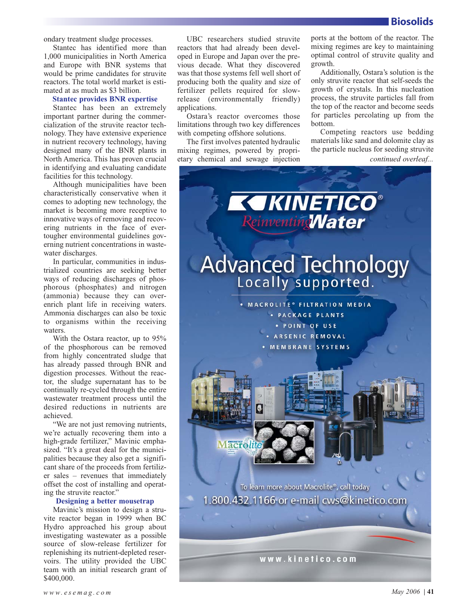ondary treatment sludge processes.

Stantec has identified more than 1,000 municipalities in North America and Europe with BNR systems that would be prime candidates for struvite reactors. The total world market is estimated at as much as \$3 billion.

# **Stantec provides BNR expertise**

Stantec has been an extremely important partner during the commercialization of the struvite reactor technology. They have extensive experience in nutrient recovery technology, having designed many of the BNR plants in North America. This has proven crucial in identifying and evaluating candidate facilities for this technology.

Although municipalities have been characteristically conservative when it comes to adopting new technology, the market is becoming more receptive to innovative ways of removing and recovering nutrients in the face of evertougher environmental guidelines governing nutrient concentrations in wastewater discharges.

In particular, communities in industrialized countries are seeking better ways of reducing discharges of phosphorous (phosphates) and nitrogen (ammonia) because they can overenrich plant life in receiving waters. Ammonia discharges can also be toxic to organisms within the receiving waters.

With the Ostara reactor, up to 95% of the phosphorous can be removed from highly concentrated sludge that has already passed through BNR and digestion processes. Without the reactor, the sludge supernatant has to be continually re-cycled through the entire wastewater treatment process until the desired reductions in nutrients are achieved.

"We are not just removing nutrients, we're actually recovering them into a high-grade fertilizer," Mavinic emphasized. "It's a great deal for the municipalities because they also get a significant share of the proceeds from fertilizer sales – revenues that immediately offset the cost of installing and operating the struvite reactor."

## **Designing a better mousetrap**

Mavinic's mission to design a struvite reactor began in 1999 when BC Hydro approached his group about investigating wastewater as a possible source of slow-release fertilizer for replenishing its nutrient-depleted reservoirs. The utility provided the UBC team with an initial research grant of \$400,000.

UBC researchers studied struvite reactors that had already been developed in Europe and Japan over the previous decade. What they discovered was that those systems fell well short of producing both the quality and size of fertilizer pellets required for slowrelease (environmentally friendly) applications.

Ostara's reactor overcomes those limitations through two key differences with competing offshore solutions.

The first involves patented hydraulic mixing regimes, powered by proprietary chemical and sewage injection ports at the bottom of the reactor. The mixing regimes are key to maintaining optimal control of struvite quality and growth.

Additionally, Ostara's solution is the only struvite reactor that self-seeds the growth of crystals. In this nucleation process, the struvite particles fall from the top of the reactor and become seeds for particles percolating up from the bottom.

Competing reactors use bedding materials like sand and dolomite clay as the particle nucleus for seeding struvite

*continued overleaf...*